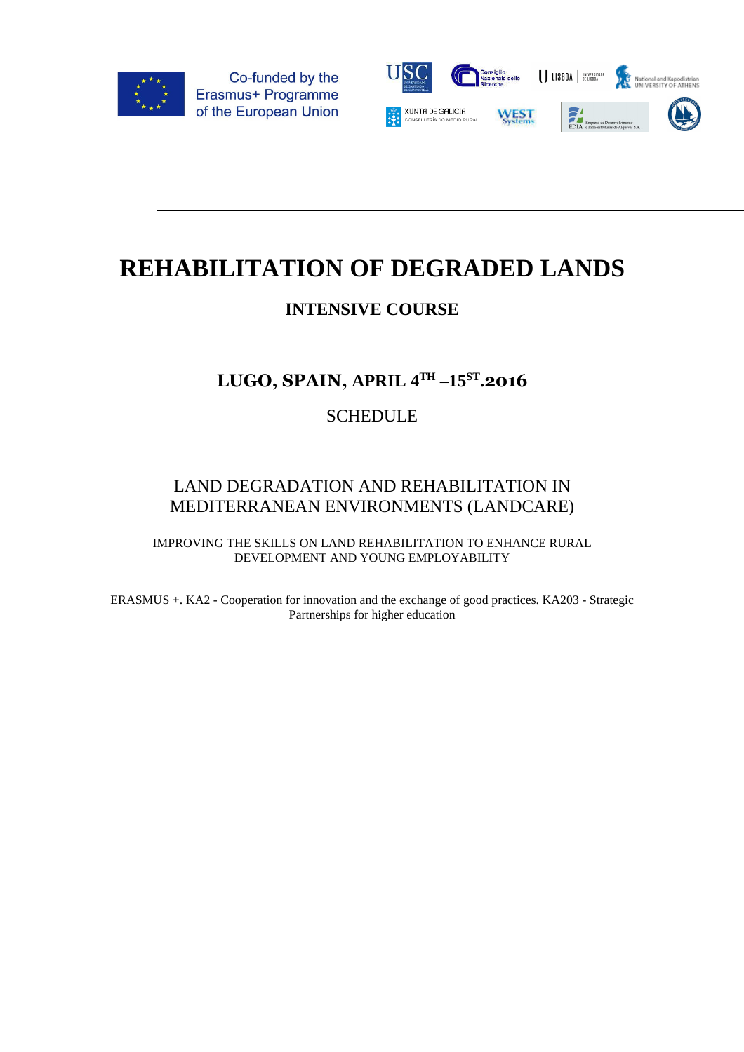



# **REHABILITATION OF DEGRADED LANDS**

## **INTENSIVE COURSE**

# **LUGO, SPAIN, APRIL 4TH –15ST .2016**

### **SCHEDULE**

### LAND DEGRADATION AND REHABILITATION IN MEDITERRANEAN ENVIRONMENTS (LANDCARE)

IMPROVING THE SKILLS ON LAND REHABILITATION TO ENHANCE RURAL DEVELOPMENT AND YOUNG EMPLOYABILITY

ERASMUS +. KA2 - Cooperation for innovation and the exchange of good practices. KA203 - Strategic Partnerships for higher education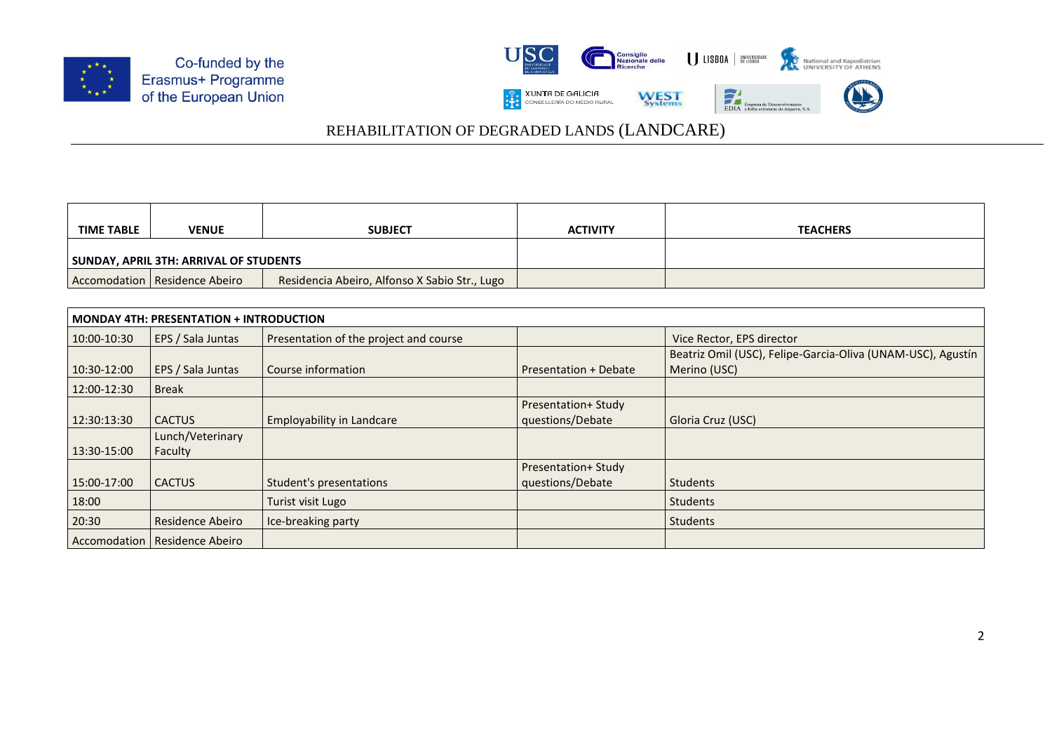



| <b>TIME TABLE</b>                      | <b>VENUE</b>                    | <b>SUBJECT</b>                                | <b>ACTIVITY</b> | <b>TEACHERS</b> |
|----------------------------------------|---------------------------------|-----------------------------------------------|-----------------|-----------------|
| SUNDAY, APRIL 3TH: ARRIVAL OF STUDENTS |                                 |                                               |                 |                 |
|                                        | Accomodation   Residence Abeiro | Residencia Abeiro, Alfonso X Sabio Str., Lugo |                 |                 |

| <b>MONDAY 4TH: PRESENTATION + INTRODUCTION</b> |                             |                                        |                                                |                                                                             |
|------------------------------------------------|-----------------------------|----------------------------------------|------------------------------------------------|-----------------------------------------------------------------------------|
| 10:00-10:30                                    | EPS / Sala Juntas           | Presentation of the project and course |                                                | Vice Rector, EPS director                                                   |
| 10:30-12:00                                    | EPS / Sala Juntas           | Course information                     | Presentation + Debate                          | Beatriz Omil (USC), Felipe-Garcia-Oliva (UNAM-USC), Agustín<br>Merino (USC) |
| 12:00-12:30                                    | <b>Break</b>                |                                        |                                                |                                                                             |
| 12:30:13:30                                    | <b>CACTUS</b>               | <b>Employability in Landcare</b>       | <b>Presentation+ Study</b><br>questions/Debate | Gloria Cruz (USC)                                                           |
| 13:30-15:00                                    | Lunch/Veterinary<br>Faculty |                                        |                                                |                                                                             |
| 15:00-17:00                                    | <b>CACTUS</b>               | Student's presentations                | <b>Presentation+ Study</b><br>questions/Debate | <b>Students</b>                                                             |
| 18:00                                          |                             | Turist visit Lugo                      |                                                | <b>Students</b>                                                             |
| 20:30                                          | Residence Abeiro            | Ice-breaking party                     |                                                | Students                                                                    |
| Accomodation                                   | Residence Abeiro            |                                        |                                                |                                                                             |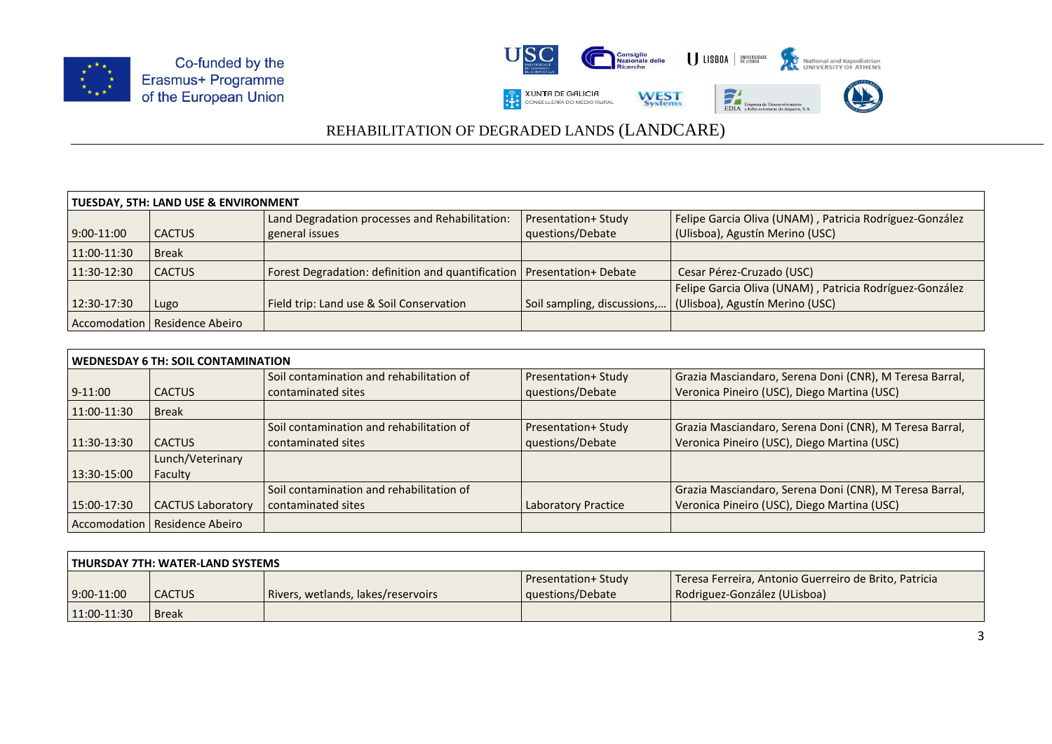



| <b>TUESDAY, 5TH: LAND USE &amp; ENVIRONMENT</b> |                                 |                                                                          |                             |                                                         |  |
|-------------------------------------------------|---------------------------------|--------------------------------------------------------------------------|-----------------------------|---------------------------------------------------------|--|
|                                                 |                                 | Land Degradation processes and Rehabilitation:                           | <b>Presentation+ Study</b>  | Felipe Garcia Oliva (UNAM), Patricia Rodríguez-González |  |
| $9:00-11:00$                                    | l CACTUS                        | general issues                                                           | questions/Debate            | (Ulisboa), Agustín Merino (USC)                         |  |
| 11:00-11:30                                     | <b>Break</b>                    |                                                                          |                             |                                                         |  |
| 11:30-12:30                                     | <b>CACTUS</b>                   | Forest Degradation: definition and quantification   Presentation+ Debate |                             | Cesar Pérez-Cruzado (USC)                               |  |
|                                                 |                                 |                                                                          |                             | Felipe Garcia Oliva (UNAM), Patricia Rodríguez-González |  |
| 12:30-17:30                                     | Lugo                            | Field trip: Land use & Soil Conservation                                 | Soil sampling, discussions, | (Ulisboa), Agustín Merino (USC)                         |  |
|                                                 | Accomodation   Residence Abeiro |                                                                          |                             |                                                         |  |

| WEDNESDAY 6 TH: SOIL CONTAMINATION |                          |                                          |                            |                                                         |
|------------------------------------|--------------------------|------------------------------------------|----------------------------|---------------------------------------------------------|
|                                    |                          | Soil contamination and rehabilitation of | <b>Presentation+ Study</b> | Grazia Masciandaro, Serena Doni (CNR), M Teresa Barral, |
| $9-11:00$                          | <b>CACTUS</b>            | contaminated sites                       | questions/Debate           | Veronica Pineiro (USC), Diego Martina (USC)             |
| $11:00-11:30$                      | <b>Break</b>             |                                          |                            |                                                         |
|                                    |                          | Soil contamination and rehabilitation of | Presentation+ Study        | Grazia Masciandaro, Serena Doni (CNR), M Teresa Barral, |
| 11:30-13:30                        | <b>CACTUS</b>            | contaminated sites                       | questions/Debate           | Veronica Pineiro (USC), Diego Martina (USC)             |
|                                    | Lunch/Veterinary         |                                          |                            |                                                         |
| 13:30-15:00                        | Faculty                  |                                          |                            |                                                         |
|                                    |                          | Soil contamination and rehabilitation of |                            | Grazia Masciandaro, Serena Doni (CNR), M Teresa Barral, |
| 15:00-17:30                        | <b>CACTUS Laboratory</b> | contaminated sites                       | Laboratory Practice        | Veronica Pineiro (USC), Diego Martina (USC)             |
| Accomodation                       | Residence Abeiro         |                                          |                            |                                                         |

| THURSDAY 7TH: WATER-LAND SYSTEMS |               |                                    |                                                |                                                                                       |
|----------------------------------|---------------|------------------------------------|------------------------------------------------|---------------------------------------------------------------------------------------|
| $9:00-11:00$                     | <b>CACTUS</b> | Rivers, wetlands, lakes/reservoirs | <b>Presentation+ Study</b><br>questions/Debate | Teresa Ferreira, Antonio Guerreiro de Brito, Patricia<br>Rodriguez-González (ULisboa) |
| $11:00-11:30$                    | <b>Break</b>  |                                    |                                                |                                                                                       |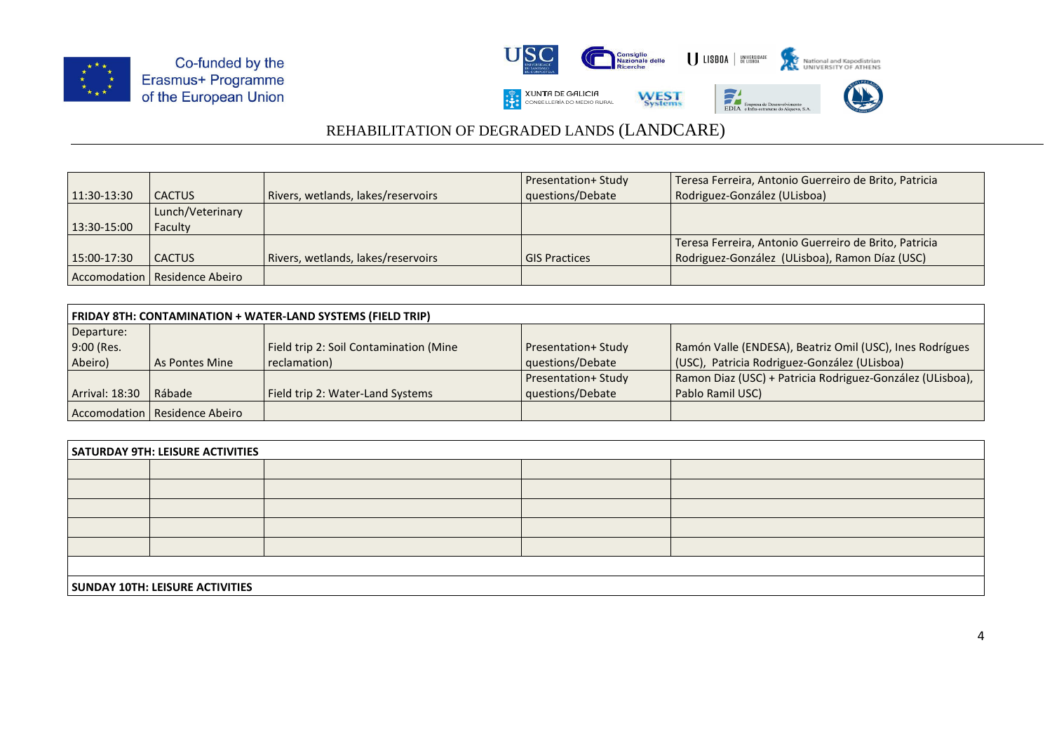



|             |                                 |                                    | <b>Presentation+ Study</b> | Teresa Ferreira, Antonio Guerreiro de Brito, Patricia |
|-------------|---------------------------------|------------------------------------|----------------------------|-------------------------------------------------------|
| 11:30-13:30 | l CACTUS                        | Rivers, wetlands, lakes/reservoirs | questions/Debate           | Rodriguez-González (ULisboa)                          |
|             | Lunch/Veterinary                |                                    |                            |                                                       |
| 13:30-15:00 | Faculty                         |                                    |                            |                                                       |
|             |                                 |                                    |                            | Teresa Ferreira, Antonio Guerreiro de Brito, Patricia |
| 15:00-17:30 | l CACTUS                        | Rivers, wetlands, lakes/reservoirs | <b>GIS Practices</b>       | Rodriguez-González (ULisboa), Ramon Díaz (USC)        |
|             | Accomodation   Residence Abeiro |                                    |                            |                                                       |

| FRIDAY 8TH: CONTAMINATION + WATER-LAND SYSTEMS (FIELD TRIP) |                                 |                                        |                            |                                                           |  |
|-------------------------------------------------------------|---------------------------------|----------------------------------------|----------------------------|-----------------------------------------------------------|--|
| Departure:                                                  |                                 |                                        |                            |                                                           |  |
| 9:00 (Res.                                                  |                                 | Field trip 2: Soil Contamination (Mine | <b>Presentation+ Study</b> | Ramón Valle (ENDESA), Beatriz Omil (USC), Ines Rodrígues  |  |
| Abeiro)                                                     | As Pontes Mine                  | reclamation)                           | questions/Debate           | (USC), Patricia Rodriguez-González (ULisboa)              |  |
|                                                             |                                 |                                        | <b>Presentation+ Study</b> | Ramon Diaz (USC) + Patricia Rodriguez-González (ULisboa), |  |
| <b>Arrival: 18:30</b>                                       | Rábade                          | Field trip 2: Water-Land Systems       | questions/Debate           | Pablo Ramil USC)                                          |  |
|                                                             | Accomodation   Residence Abeiro |                                        |                            |                                                           |  |

| <b>SATURDAY 9TH: LEISURE ACTIVITIES</b> |  |  |  |  |  |  |
|-----------------------------------------|--|--|--|--|--|--|
|                                         |  |  |  |  |  |  |
|                                         |  |  |  |  |  |  |
|                                         |  |  |  |  |  |  |
|                                         |  |  |  |  |  |  |
|                                         |  |  |  |  |  |  |
|                                         |  |  |  |  |  |  |
| <b>SUNDAY 10TH: LEISURE ACTIVITIES</b>  |  |  |  |  |  |  |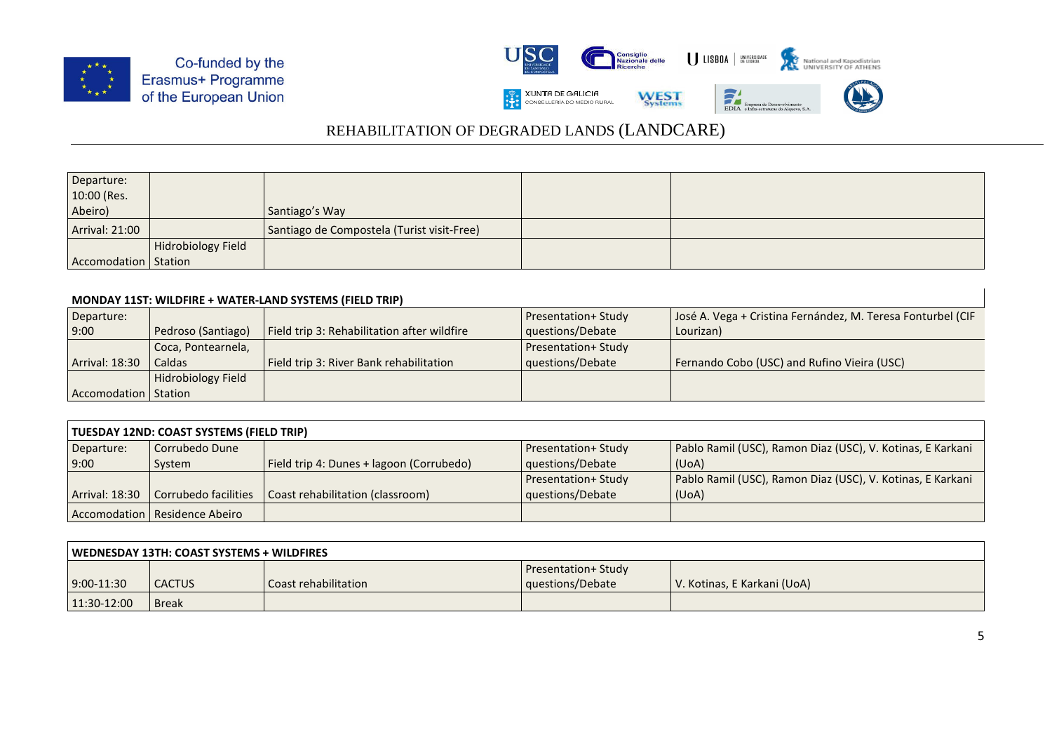



| Departure:             |                    |                                            |  |
|------------------------|--------------------|--------------------------------------------|--|
| 10:00 (Res.            |                    |                                            |  |
| Abeiro)                |                    | Santiago's Way                             |  |
| <b>Arrival: 21:00</b>  |                    | Santiago de Compostela (Turist visit-Free) |  |
|                        | Hidrobiology Field |                                            |  |
| Accomodation   Station |                    |                                            |  |

#### **MONDAY 11ST: WILDFIRE + WATER-LAND SYSTEMS (FIELD TRIP)**

| Departure:             |                    |                                             | <b>Presentation+ Study</b> | José A. Vega + Cristina Fernández, M. Teresa Fonturbel (CIF |
|------------------------|--------------------|---------------------------------------------|----------------------------|-------------------------------------------------------------|
| 9:00                   | Pedroso (Santiago) | Field trip 3: Rehabilitation after wildfire | questions/Debate           | Lourizan)                                                   |
|                        | Coca, Pontearnela, |                                             | <b>Presentation+ Study</b> |                                                             |
| <b>Arrival: 18:30</b>  | Caldas             | Field trip 3: River Bank rehabilitation     | questions/Debate           | Fernando Cobo (USC) and Rufino Vieira (USC)                 |
|                        | Hidrobiology Field |                                             |                            |                                                             |
| Accomodation   Station |                    |                                             |                            |                                                             |

| TUESDAY 12ND: COAST SYSTEMS (FIELD TRIP) |                                 |                                          |                            |                                                            |  |
|------------------------------------------|---------------------------------|------------------------------------------|----------------------------|------------------------------------------------------------|--|
| Departure:                               | Corrubedo Dune                  |                                          | <b>Presentation+ Study</b> | Pablo Ramil (USC), Ramon Diaz (USC), V. Kotinas, E Karkani |  |
| 9:00                                     | System                          | Field trip 4: Dunes + lagoon (Corrubedo) | questions/Debate           | (UoA)                                                      |  |
|                                          |                                 |                                          | <b>Presentation+ Study</b> | Pablo Ramil (USC), Ramon Diaz (USC), V. Kotinas, E Karkani |  |
| Arrival: 18:30                           | Corrubedo facilities            | Coast rehabilitation (classroom)         | questions/Debate           | (UoA)                                                      |  |
|                                          | Accomodation   Residence Abeiro |                                          |                            |                                                            |  |

| WEDNESDAY 13TH: COAST SYSTEMS + WILDFIRES |               |                      |                            |                             |
|-------------------------------------------|---------------|----------------------|----------------------------|-----------------------------|
|                                           |               |                      | <b>Presentation+ Study</b> |                             |
| 9:00-11:30                                | <b>CACTUS</b> | Coast rehabilitation | questions/Debate           | V. Kotinas, E Karkani (UoA) |
| $11:30-12:00$                             | <b>Break</b>  |                      |                            |                             |